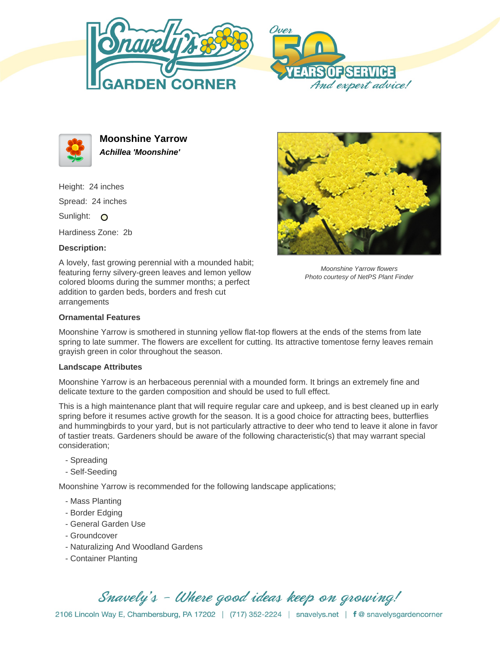





**Moonshine Yarrow Achillea 'Moonshine'**

Height: 24 inches Spread: 24 inches Sunlight: O

Hardiness Zone: 2b

## **Description:**

A lovely, fast growing perennial with a mounded habit; featuring ferny silvery-green leaves and lemon yellow colored blooms during the summer months; a perfect addition to garden beds, borders and fresh cut arrangements



Moonshine Yarrow flowers Photo courtesy of NetPS Plant Finder

## **Ornamental Features**

Moonshine Yarrow is smothered in stunning yellow flat-top flowers at the ends of the stems from late spring to late summer. The flowers are excellent for cutting. Its attractive tomentose ferny leaves remain grayish green in color throughout the season.

### **Landscape Attributes**

Moonshine Yarrow is an herbaceous perennial with a mounded form. It brings an extremely fine and delicate texture to the garden composition and should be used to full effect.

This is a high maintenance plant that will require regular care and upkeep, and is best cleaned up in early spring before it resumes active growth for the season. It is a good choice for attracting bees, butterflies and hummingbirds to your yard, but is not particularly attractive to deer who tend to leave it alone in favor of tastier treats. Gardeners should be aware of the following characteristic(s) that may warrant special consideration;

- Spreading
- Self-Seeding

Moonshine Yarrow is recommended for the following landscape applications;

- Mass Planting
- Border Edging
- General Garden Use
- Groundcover
- Naturalizing And Woodland Gardens
- Container Planting

# Snavely's - Where good ideas keep on growing!

2106 Lincoln Way E, Chambersburg, PA 17202 | (717) 352-2224 | snavelys.net | f @ snavelysgardencorner